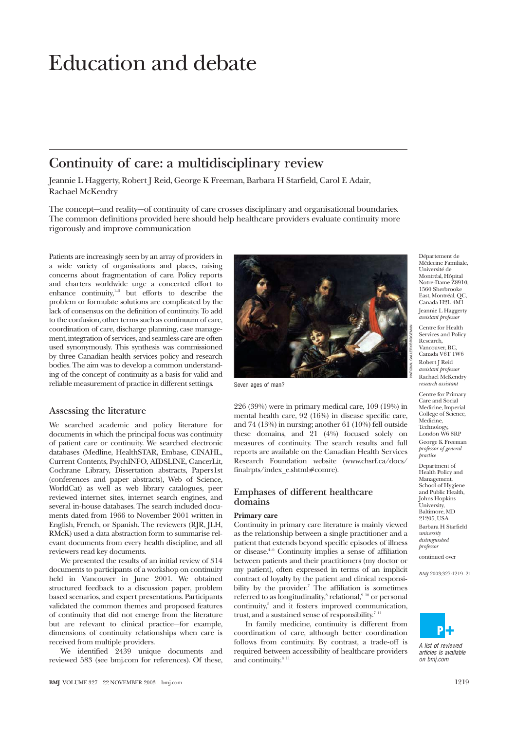# Education and debate

# **Continuity of care: a multidisciplinary review**

Jeannie L Haggerty, Robert J Reid, George K Freeman, Barbara H Starfield, Carol E Adair, Rachael McKendry

The concept—and reality—of continuity of care crosses disciplinary and organisational boundaries. The common definitions provided here should help healthcare providers evaluate continuity more rigorously and improve communication

Patients are increasingly seen by an array of providers in a wide variety of organisations and places, raising concerns about fragmentation of care. Policy reports and charters worldwide urge a concerted effort to enhance continuity,<sup>1-3</sup> but efforts to describe the problem or formulate solutions are complicated by the lack of consensus on the definition of continuity. To add to the confusion, other terms such as continuum of care, coordination of care, discharge planning, case management, integration of services, and seamless care are often used synonymously. This synthesis was commissioned by three Canadian health services policy and research bodies. The aim was to develop a common understanding of the concept of continuity as a basis for valid and reliable measurement of practice in different settings.

# **Assessing the literature**

We searched academic and policy literature for documents in which the principal focus was continuity of patient care or continuity. We searched electronic databases (Medline, HealthSTAR, Embase, CINAHL, Current Contents, PsychINFO, AIDSLINE, CancerLit, Cochrane Library, Dissertation abstracts, Papers1st (conferences and paper abstracts), Web of Science, WorldCat) as well as web library catalogues, peer reviewed internet sites, internet search engines, and several in-house databases. The search included documents dated from 1966 to November 2001 written in English, French, or Spanish. The reviewers (RJR, JLH, RMcK) used a data abstraction form to summarise relevant documents from every health discipline, and all reviewers read key documents.

We presented the results of an initial review of 314 documents to participants of a workshop on continuity held in Vancouver in June 2001. We obtained structured feedback to a discussion paper, problem based scenarios, and expert presentations. Participants validated the common themes and proposed features of continuity that did not emerge from the literature but are relevant to clinical practice—for example, dimensions of continuity relationships when care is received from multiple providers.

We identified 2439 unique documents and reviewed 583 (see bmj.com for references). Of these,



Seven ages of man?

226 (39%) were in primary medical care, 109 (19%) in mental health care, 92 (16%) in disease specific care, and 74 (13%) in nursing; another 61 (10%) fell outside these domains, and 21 (4%) focused solely on measures of continuity. The search results and full reports are available on the Canadian Health Services Research Foundation website (www.chsrf.ca/docs/ finalrpts/index\_e.shtml#comre).

# **Emphases of different healthcare domains**

## **Primary care**

Continuity in primary care literature is mainly viewed as the relationship between a single practitioner and a patient that extends beyond specific episodes of illness or disease.4–6 Continuity implies a sense of affiliation between patients and their practitioners (my doctor or my patient), often expressed in terms of an implicit contract of loyalty by the patient and clinical responsibility by the provider.<sup>7</sup> The affiliation is sometimes referred to as longitudinality,<sup>8</sup> relational,<sup>9 10</sup> or personal continuity,5 and it fosters improved communication, trust, and a sustained sense of responsibility. $711$ 

In family medicine, continuity is different from coordination of care, although better coordination follows from continuity. By contrast, a trade-off is required between accessibility of healthcare providers and continuity.<sup>8 11</sup>

Département de Médecine Familiale, Université de Montréal, Hôpital Notre-Dame Z8910, 1560 Sherbrooke East, Montréal, QC, Canada H2L 4M1 Jeannie L Haggerty *assistant professor*

Centre for Health Services and Policy Research, Vancouver, BC, Canada V6T 1W6 Robert J Reid *assistant professor* Rachael McKendry *research assistant*

Centre for Primary Care and Social Medicine, Imperial College of Science, Medicine, Technology, London W6 8RP

George K Freeman *professor of general practice*

Department of Health Policy and Management, School of Hygiene and Public Health, Johns Hopkins University, Baltimore, MD 21205, USA Barbara H Starfield *university distinguished professor*

continued over

*BMJ* 2003;327:1219–21



A list of reviewed articles is available on bmj.com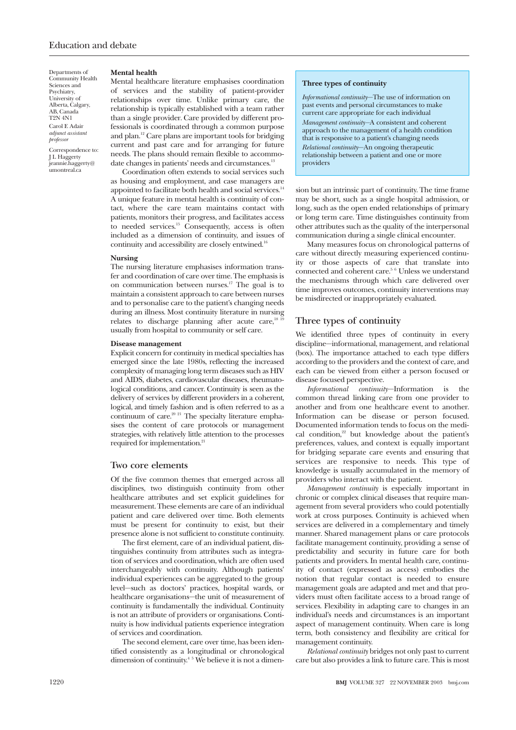Departments of Community Health Sciences and Psychiatry, University of Alberta, Calgary, AB, Canada T2N 4N1 Carol E Adair *adjunct assistant professor*

Correspondence to: J L Haggerty jeannie.haggerty@ umontreal.ca

#### **Mental health**

Mental healthcare literature emphasises coordination of services and the stability of patient-provider relationships over time. Unlike primary care, the relationship is typically established with a team rather than a single provider. Care provided by different professionals is coordinated through a common purpose and plan.12 Care plans are important tools for bridging current and past care and for arranging for future needs. The plans should remain flexible to accommodate changes in patients' needs and circumstances.<sup>13</sup>

Coordination often extends to social services such as housing and employment, and case managers are appointed to facilitate both health and social services.<sup>14</sup> A unique feature in mental health is continuity of contact, where the care team maintains contact with patients, monitors their progress, and facilitates access to needed services. $15$  Consequently, access is often included as a dimension of continuity, and issues of continuity and accessibility are closely entwined.16

#### **Nursing**

The nursing literature emphasises information transfer and coordination of care over time. The emphasis is on communication between nurses.17 The goal is to maintain a consistent approach to care between nurses and to personalise care to the patient's changing needs during an illness. Most continuity literature in nursing relates to discharge planning after acute care,<sup>18</sup> usually from hospital to community or self care.

#### **Disease management**

Explicit concern for continuity in medical specialties has emerged since the late 1980s, reflecting the increased complexity of managing long term diseases such as HIV and AIDS, diabetes, cardiovascular diseases, rheumatological conditions, and cancer. Continuity is seen as the delivery of services by different providers in a coherent, logical, and timely fashion and is often referred to as a continuum of care. $20^{21}$  The specialty literature emphasises the content of care protocols or management strategies, with relatively little attention to the processes required for implementation.<sup>21</sup>

# **Two core elements**

Of the five common themes that emerged across all disciplines, two distinguish continuity from other healthcare attributes and set explicit guidelines for measurement. These elements are care of an individual patient and care delivered over time. Both elements must be present for continuity to exist, but their presence alone is not sufficient to constitute continuity.

The first element, care of an individual patient, distinguishes continuity from attributes such as integration of services and coordination, which are often used interchangeably with continuity. Although patients' individual experiences can be aggregated to the group level—such as doctors' practices, hospital wards, or healthcare organisations—the unit of measurement of continuity is fundamentally the individual. Continuity is not an attribute of providers or organisations. Continuity is how individual patients experience integration of services and coordination.

The second element, care over time, has been identified consistently as a longitudinal or chronological dimension of continuity.<sup>4 5</sup> We believe it is not a dimen-

#### **Three types of continuity**

*Informational continuity*—The use of information on past events and personal circumstances to make current care appropriate for each individual *Management continuity—*A consistent and coherent approach to the management of a health condition that is responsive to a patient's changing needs *Relational continuity*—An ongoing therapeutic relationship between a patient and one or more providers

sion but an intrinsic part of continuity. The time frame may be short, such as a single hospital admission, or long, such as the open ended relationships of primary or long term care. Time distinguishes continuity from other attributes such as the quality of the interpersonal communication during a single clinical encounter.

Many measures focus on chronological patterns of care without directly measuring experienced continuity or those aspects of care that translate into connected and coherent care.5 6 Unless we understand the mechanisms through which care delivered over time improves outcomes, continuity interventions may be misdirected or inappropriately evaluated.

# **Three types of continuity**

We identified three types of continuity in every discipline—informational, management, and relational (box). The importance attached to each type differs according to the providers and the context of care, and each can be viewed from either a person focused or disease focused perspective.

*Informational continuity*—Information is the common thread linking care from one provider to another and from one healthcare event to another. Information can be disease or person focused. Documented information tends to focus on the medical condition,<sup>22</sup> but knowledge about the patient's preferences, values, and context is equally important for bridging separate care events and ensuring that services are responsive to needs. This type of knowledge is usually accumulated in the memory of providers who interact with the patient.

*Management continuity* is especially important in chronic or complex clinical diseases that require management from several providers who could potentially work at cross purposes. Continuity is achieved when services are delivered in a complementary and timely manner. Shared management plans or care protocols facilitate management continuity, providing a sense of predictability and security in future care for both patients and providers. In mental health care, continuity of contact (expressed as access) embodies the notion that regular contact is needed to ensure management goals are adapted and met and that providers must often facilitate access to a broad range of services. Flexibility in adapting care to changes in an individual's needs and circumstances is an important aspect of management continuity. When care is long term, both consistency and flexibility are critical for management continuity.

*Relational continuity* bridges not only past to current care but also provides a link to future care. This is most